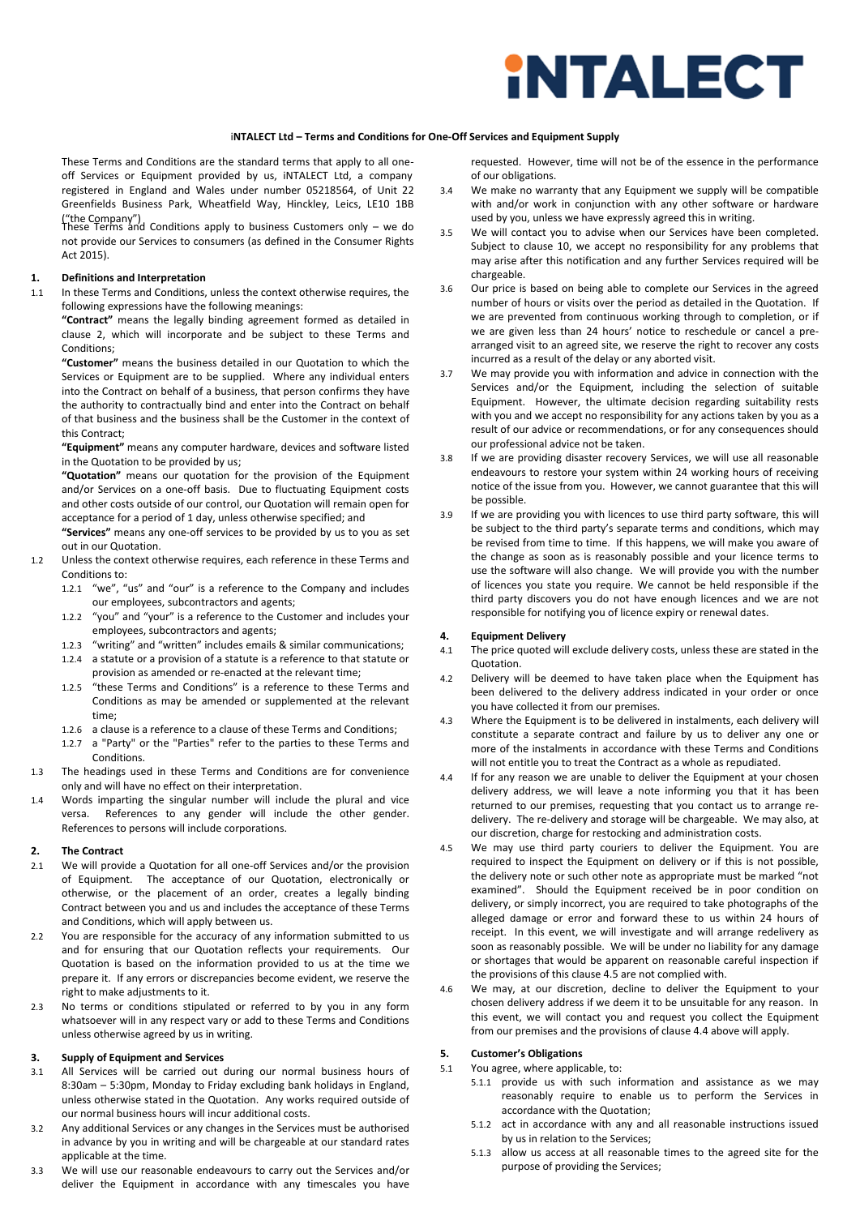

#### i**NTALECT Ltd – Terms and Conditions for One-Off Services and Equipment Supply**

These Terms and Conditions are the standard terms that apply to all one- off Services or Equipment provided by us, iNTALECT Ltd, a company registered in England and Wales under number 05218564, of Unit 22 Greenfields Business Park, Wheatfield Way, Hinckley, Leics, LE10 1BB

("the Company")<br>These Terms and Conditions apply to business Customers only – we do not provide our Services to consumers (as defined in the Consumer Rights Act 2015).

# **1. Definitions and Interpretation**

In these Terms and Conditions, unless the context otherwise requires, the following expressions have the following meanings:

**"Contract"** means the legally binding agreement formed as detailed in clause 2, which will incorporate and be subject to these Terms and Conditions;

**"Customer"** means the business detailed in our Quotation to which the Services or Equipment are to be supplied. Where any individual enters into the Contract on behalf of a business, that person confirms they have the authority to contractually bind and enter into the Contract on behalf of that business and the business shall be the Customer in the context of this Contract;

**"Equipment"** means any computer hardware, devices and software listed in the Quotation to be provided by us;

**"Quotation"** means our quotation for the provision of the Equipment and/or Services on a one-off basis. Due to fluctuating Equipment costs and other costs outside of our control, our Quotation will remain open for acceptance for a period of 1 day, unless otherwise specified; and

**"Services"** means any one-off services to be provided by us to you as set out in our Quotation.

- 1.2 Unless the context otherwise requires, each reference in these Terms and Conditions to:
	- 1.2.1 "we", "us" and "our" is a reference to the Company and includes our employees, subcontractors and agents;
	- 1.2.2 "you" and "your" is a reference to the Customer and includes your employees, subcontractors and agents;
	- 1.2.3 "writing" and "written" includes emails & similar communications;
	- 1.2.4 a statute or a provision of a statute is a reference to that statute or provision as amended or re-enacted at the relevant time;
	- 1.2.5 "these Terms and Conditions" is a reference to these Terms and Conditions as may be amended or supplemented at the relevant time;
	- 1.2.6 a clause is a reference to a clause of these Terms and Conditions;
	- 1.2.7 a "Party" or the "Parties" refer to the parties to these Terms and Conditions.
- 1.3 The headings used in these Terms and Conditions are for convenience only and will have no effect on their interpretation.
- 1.4 Words imparting the singular number will include the plural and vice versa. References to any gender will include the other gender. References to persons will include corporations.

### **2. The Contract**

- 2.1 We will provide a Quotation for all one-off Services and/or the provision of Equipment. The acceptance of our Quotation, electronically or otherwise, or the placement of an order, creates a legally binding Contract between you and us and includes the acceptance of these Terms and Conditions, which will apply between us.
- 2.2 You are responsible for the accuracy of any information submitted to us and for ensuring that our Quotation reflects your requirements. Our Quotation is based on the information provided to us at the time we prepare it. If any errors or discrepancies become evident, we reserve the right to make adjustments to it.
- 2.3 No terms or conditions stipulated or referred to by you in any form whatsoever will in any respect vary or add to these Terms and Conditions unless otherwise agreed by us in writing.

# **3. Supply of Equipment and Services**

- 3.1 All Services will be carried out during our normal business hours of 8:30am – 5:30pm, Monday to Friday excluding bank holidays in England, unless otherwise stated in the Quotation. Any works required outside of our normal business hours will incur additional costs.
- 3.2 Any additional Services or any changes in the Services must be authorised in advance by you in writing and will be chargeable at our standard rates applicable at the time.
- 3.3 We will use our reasonable endeavours to carry out the Services and/or deliver the Equipment in accordance with any timescales you have

requested. However, time will not be of the essence in the performance of our obligations.

- 3.4 We make no warranty that any Equipment we supply will be compatible with and/or work in conjunction with any other software or hardware used by you, unless we have expressly agreed this in writing.
- 3.5 We will contact you to advise when our Services have been completed. Subject to clause 10, we accept no responsibility for any problems that may arise after this notification and any further Services required will be chargeable.
- 3.6 Our price is based on being able to complete our Services in the agreed number of hours or visits over the period as detailed in the Quotation. If we are prevented from continuous working through to completion, or if we are given less than 24 hours' notice to reschedule or cancel a prearranged visit to an agreed site, we reserve the right to recover any costs incurred as a result of the delay or any aborted visit.
- 3.7 We may provide you with information and advice in connection with the Services and/or the Equipment, including the selection of suitable Equipment. However, the ultimate decision regarding suitability rests with you and we accept no responsibility for any actions taken by you as a result of our advice or recommendations, or for any consequences should our professional advice not be taken.
- If we are providing disaster recovery Services, we will use all reasonable endeavours to restore your system within 24 working hours of receiving notice of the issue from you. However, we cannot guarantee that this will be possible.
- If we are providing you with licences to use third party software, this will be subject to the third party's separate terms and conditions, which may be revised from time to time. If this happens, we will make you aware of the change as soon as is reasonably possible and your licence terms to use the software will also change. We will provide you with the number of licences you state you require. We cannot be held responsible if the third party discovers you do not have enough licences and we are not responsible for notifying you of licence expiry or renewal dates.

#### **4. Equipment Delivery**

- 4.1 The price quoted will exclude delivery costs, unless these are stated in the Quotation.
- 4.2 Delivery will be deemed to have taken place when the Equipment has been delivered to the delivery address indicated in your order or once you have collected it from our premises.
- 4.3 Where the Equipment is to be delivered in instalments, each delivery will constitute a separate contract and failure by us to deliver any one or more of the instalments in accordance with these Terms and Conditions will not entitle you to treat the Contract as a whole as repudiated.
- 4.4 If for any reason we are unable to deliver the Equipment at your chosen delivery address, we will leave a note informing you that it has been returned to our premises, requesting that you contact us to arrange redelivery. The re-delivery and storage will be chargeable. We may also, at our discretion, charge for restocking and administration costs.
- 4.5 We may use third party couriers to deliver the Equipment. You are required to inspect the Equipment on delivery or if this is not possible, the delivery note or such other note as appropriate must be marked "not examined". Should the Equipment received be in poor condition on delivery, or simply incorrect, you are required to take photographs of the alleged damage or error and forward these to us within 24 hours of receipt. In this event, we will investigate and will arrange redelivery as soon as reasonably possible. We will be under no liability for any damage or shortages that would be apparent on reasonable careful inspection if the provisions of this clause 4.5 are not complied with.
- 4.6 We may, at our discretion, decline to deliver the Equipment to your chosen delivery address if we deem it to be unsuitable for any reason. In this event, we will contact you and request you collect the Equipment from our premises and the provisions of clause 4.4 above will apply.

### **5. Customer's Obligations**

- 5.1 You agree, where applicable, to:
	- 5.1.1 provide us with such information and assistance as we may reasonably require to enable us to perform the Services in accordance with the Quotation;
	- 5.1.2 act in accordance with any and all reasonable instructions issued by us in relation to the Services;
	- 5.1.3 allow us access at all reasonable times to the agreed site for the purpose of providing the Services;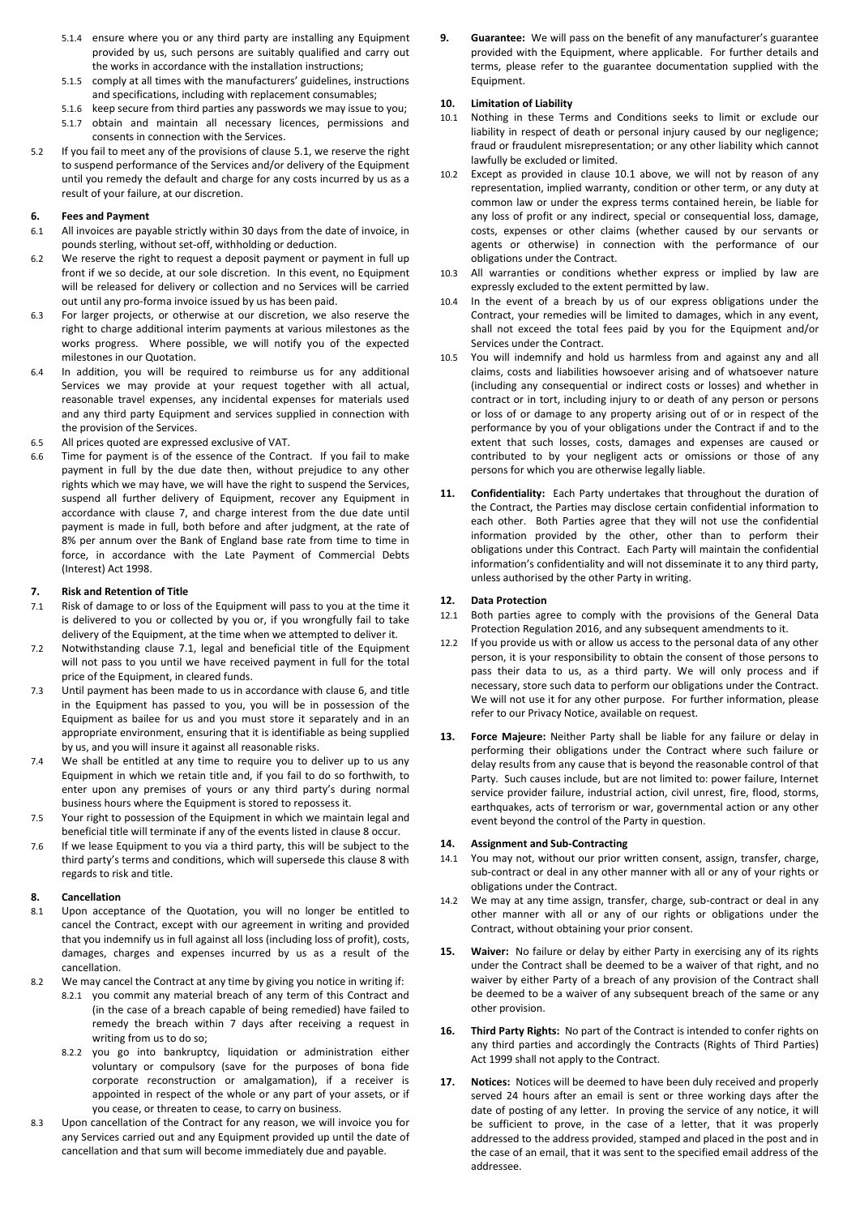- 5.1.4 ensure where you or any third party are installing any Equipment provided by us, such persons are suitably qualified and carry out the works in accordance with the installation instructions;
- 5.1.5 comply at all times with the manufacturers' guidelines, instructions and specifications, including with replacement consumables;
- 5.1.6 keep secure from third parties any passwords we may issue to you;
- 5.1.7 obtain and maintain all necessary licences, permissions and consents in connection with the Services.
- 5.2 If you fail to meet any of the provisions of clause 5.1, we reserve the right to suspend performance of the Services and/or delivery of the Equipment until you remedy the default and charge for any costs incurred by us as a result of your failure, at our discretion.

# **6. Fees and Payment**

- All invoices are payable strictly within 30 days from the date of invoice, in pounds sterling, without set-off, withholding or deduction.
- 6.2 We reserve the right to request a deposit payment or payment in full up front if we so decide, at our sole discretion. In this event, no Equipment will be released for delivery or collection and no Services will be carried out until any pro-forma invoice issued by us has been paid.
- 6.3 For larger projects, or otherwise at our discretion, we also reserve the right to charge additional interim payments at various milestones as the works progress. Where possible, we will notify you of the expected milestones in our Quotation.
- 6.4 In addition, you will be required to reimburse us for any additional Services we may provide at your request together with all actual, reasonable travel expenses, any incidental expenses for materials used and any third party Equipment and services supplied in connection with the provision of the Services.
- 6.5 All prices quoted are expressed exclusive of VAT.
- 6.6 Time for payment is of the essence of the Contract. If you fail to make payment in full by the due date then, without prejudice to any other rights which we may have, we will have the right to suspend the Services, suspend all further delivery of Equipment, recover any Equipment in accordance with clause 7, and charge interest from the due date until payment is made in full, both before and after judgment, at the rate of 8% per annum over the Bank of England base rate from time to time in force, in accordance with the Late Payment of Commercial Debts (Interest) Act 1998.

#### **7. Risk and Retention of Title**

- 7.1 Risk of damage to or loss of the Equipment will pass to you at the time it is delivered to you or collected by you or, if you wrongfully fail to take delivery of the Equipment, at the time when we attempted to deliver it.
- 7.2 Notwithstanding clause 7.1, legal and beneficial title of the Equipment will not pass to you until we have received payment in full for the total price of the Equipment, in cleared funds.
- 7.3 Until payment has been made to us in accordance with clause 6, and title in the Equipment has passed to you, you will be in possession of the Equipment as bailee for us and you must store it separately and in an appropriate environment, ensuring that it is identifiable as being supplied by us, and you will insure it against all reasonable risks.
- 7.4 We shall be entitled at any time to require you to deliver up to us any Equipment in which we retain title and, if you fail to do so forthwith, to enter upon any premises of yours or any third party's during normal business hours where the Equipment is stored to repossess it.
- 7.5 Your right to possession of the Equipment in which we maintain legal and beneficial title will terminate if any of the events listed in clause 8 occur.
- 7.6 If we lease Equipment to you via a third party, this will be subject to the third party's terms and conditions, which will supersede this clause 8 with regards to risk and title.

# **8. Cancellation**

- 8.1 Upon acceptance of the Quotation, you will no longer be entitled to cancel the Contract, except with our agreement in writing and provided that you indemnify us in full against all loss (including loss of profit), costs, damages, charges and expenses incurred by us as a result of the cancellation.
- 8.2 We may cancel the Contract at any time by giving you notice in writing if:
	- 8.2.1 you commit any material breach of any term of this Contract and (in the case of a breach capable of being remedied) have failed to remedy the breach within 7 days after receiving a request in writing from us to do so;
		- 8.2.2 you go into bankruptcy, liquidation or administration either voluntary or compulsory (save for the purposes of bona fide corporate reconstruction or amalgamation), if a receiver is appointed in respect of the whole or any part of your assets, or if you cease, or threaten to cease, to carry on business.
- 8.3 Upon cancellation of the Contract for any reason, we will invoice you for any Services carried out and any Equipment provided up until the date of cancellation and that sum will become immediately due and payable.

**9. Guarantee:** We will pass on the benefit of any manufacturer's guarantee provided with the Equipment, where applicable. For further details and terms, please refer to the guarantee documentation supplied with the Equipment.

# **10. Limitation of Liability**

- Nothing in these Terms and Conditions seeks to limit or exclude our liability in respect of death or personal injury caused by our negligence; fraud or fraudulent misrepresentation; or any other liability which cannot lawfully be excluded or limited.
- Except as provided in clause 10.1 above, we will not by reason of any representation, implied warranty, condition or other term, or any duty at common law or under the express terms contained herein, be liable for any loss of profit or any indirect, special or consequential loss, damage, costs, expenses or other claims (whether caused by our servants or agents or otherwise) in connection with the performance of our obligations under the Contract.
- 10.3 All warranties or conditions whether express or implied by law are expressly excluded to the extent permitted by law.
- 10.4 In the event of a breach by us of our express obligations under the Contract, your remedies will be limited to damages, which in any event, shall not exceed the total fees paid by you for the Equipment and/or Services under the Contract.
- 10.5 You will indemnify and hold us harmless from and against any and all claims, costs and liabilities howsoever arising and of whatsoever nature (including any consequential or indirect costs or losses) and whether in contract or in tort, including injury to or death of any person or persons or loss of or damage to any property arising out of or in respect of the performance by you of your obligations under the Contract if and to the extent that such losses, costs, damages and expenses are caused or contributed to by your negligent acts or omissions or those of any persons for which you are otherwise legally liable.
- **11. Confidentiality:** Each Party undertakes that throughout the duration of the Contract, the Parties may disclose certain confidential information to each other. Both Parties agree that they will not use the confidential information provided by the other, other than to perform their obligations under this Contract. Each Party will maintain the confidential information's confidentiality and will not disseminate it to any third party, unless authorised by the other Party in writing.

### **12. Data Protection**

- 12.1 Both parties agree to comply with the provisions of the General Data Protection Regulation 2016, and any subsequent amendments to it.
- 12.2 If you provide us with or allow us access to the personal data of any other person, it is your responsibility to obtain the consent of those persons to pass their data to us, as a third party. We will only process and if necessary, store such data to perform our obligations under the Contract. We will not use it for any other purpose. For further information, please refer to our Privacy Notice, available on request.
- **13. Force Majeure:** Neither Party shall be liable for any failure or delay in performing their obligations under the Contract where such failure or delay results from any cause that is beyond the reasonable control of that Party. Such causes include, but are not limited to: power failure, Internet service provider failure, industrial action, civil unrest, fire, flood, storms, earthquakes, acts of terrorism or war, governmental action or any other event beyond the control of the Party in question.

# **14. Assignment and Sub-Contracting**

- 14.1 You may not, without our prior written consent, assign, transfer, charge, sub-contract or deal in any other manner with all or any of your rights or obligations under the Contract.
- 14.2 We may at any time assign, transfer, charge, sub-contract or deal in any other manner with all or any of our rights or obligations under the Contract, without obtaining your prior consent.
- **15. Waiver:** No failure or delay by either Party in exercising any of its rights under the Contract shall be deemed to be a waiver of that right, and no waiver by either Party of a breach of any provision of the Contract shall be deemed to be a waiver of any subsequent breach of the same or any other provision.
- **16. Third Party Rights:** No part of the Contract is intended to confer rights on any third parties and accordingly the Contracts (Rights of Third Parties) Act 1999 shall not apply to the Contract.
- **17. Notices:** Notices will be deemed to have been duly received and properly served 24 hours after an email is sent or three working days after the date of posting of any letter. In proving the service of any notice, it will be sufficient to prove, in the case of a letter, that it was properly addressed to the address provided, stamped and placed in the post and in the case of an email, that it was sent to the specified email address of the addressee.